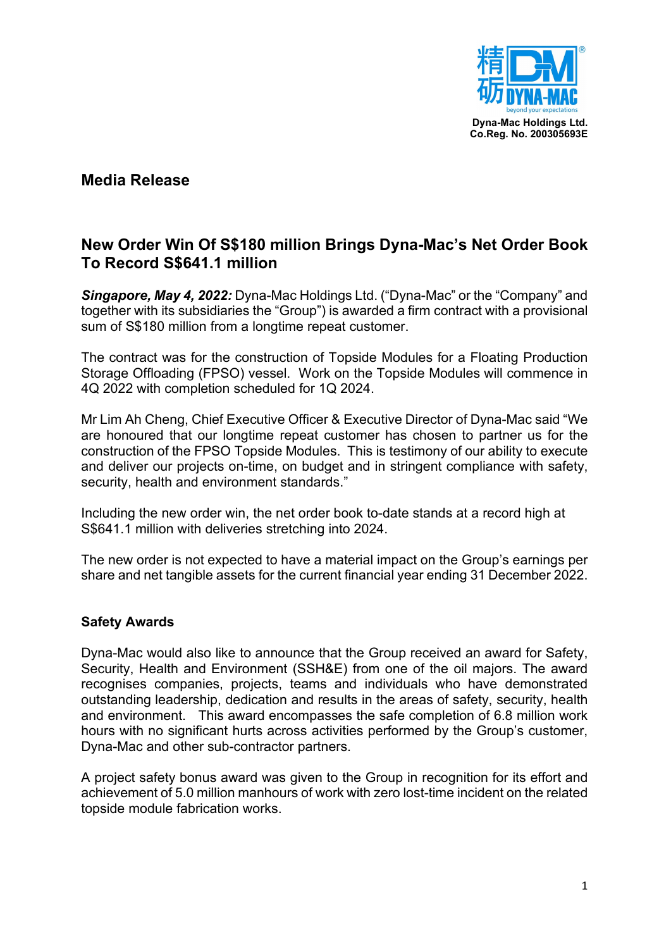

## **Media Release**

# **New Order Win Of S\$180 million Brings Dyna-Mac's Net Order Book To Record S\$641.1 million**

*Singapore, May 4, 2022:* Dyna-Mac Holdings Ltd. ("Dyna-Mac" or the "Company" and together with its subsidiaries the "Group") is awarded a firm contract with a provisional sum of S\$180 million from a longtime repeat customer.

The contract was for the construction of Topside Modules for a Floating Production Storage Offloading (FPSO) vessel. Work on the Topside Modules will commence in 4Q 2022 with completion scheduled for 1Q 2024.

Mr Lim Ah Cheng, Chief Executive Officer & Executive Director of Dyna-Mac said "We are honoured that our longtime repeat customer has chosen to partner us for the construction of the FPSO Topside Modules. This is testimony of our ability to execute and deliver our projects on-time, on budget and in stringent compliance with safety, security, health and environment standards."

Including the new order win, the net order book to-date stands at a record high at S\$641.1 million with deliveries stretching into 2024.

The new order is not expected to have a material impact on the Group's earnings per share and net tangible assets for the current financial year ending 31 December 2022.

#### **Safety Awards**

Dyna-Mac would also like to announce that the Group received an award for Safety, Security, Health and Environment (SSH&E) from one of the oil majors. The award recognises companies, projects, teams and individuals who have demonstrated outstanding leadership, dedication and results in the areas of safety, security, health and environment. This award encompasses the safe completion of 6.8 million work hours with no significant hurts across activities performed by the Group's customer, Dyna-Mac and other sub-contractor partners.

A project safety bonus award was given to the Group in recognition for its effort and achievement of 5.0 million manhours of work with zero lost-time incident on the related topside module fabrication works.